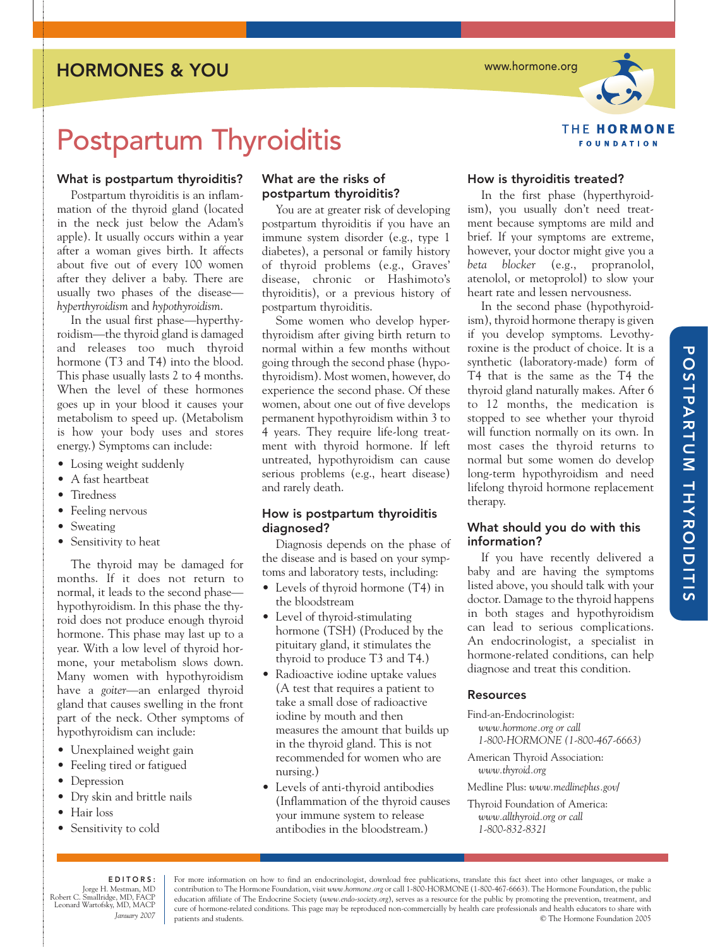HORMONES & YOU

www.hormone.org



# Postpartum Thyroiditis

### What is postpartum thyroiditis?

Postpartum thyroiditis is an inflammation of the thyroid gland (located in the neck just below the Adam's apple). It usually occurs within a year after a woman gives birth. It affects about five out of every 100 women after they deliver a baby. There are usually two phases of the disease *hyperthyroidism* and *hypothyroidism*.

In the usual first phase—hyperthyroidism—the thyroid gland is damaged and releases too much thyroid hormone (T3 and T4) into the blood. This phase usually lasts 2 to 4 months. When the level of these hormones goes up in your blood it causes your metabolism to speed up. (Metabolism is how your body uses and stores energy.) Symptoms can include:

- Losing weight suddenly
- A fast heartbeat
- Tiredness
- Feeling nervous
- Sweating
- Sensitivity to heat

The thyroid may be damaged for months. If it does not return to normal, it leads to the second phase hypothyroidism. In this phase the thyroid does not produce enough thyroid hormone. This phase may last up to a year. With a low level of thyroid hormone, your metabolism slows down. Many women with hypothyroidism have a *goiter*—an enlarged thyroid gland that causes swelling in the front part of the neck. Other symptoms of hypothyroidism can include:

- Unexplained weight gain
- Feeling tired or fatigued
- Depression
- Dry skin and brittle nails
- Hair loss
- Sensitivity to cold

### What are the risks of postpartum thyroiditis?

You are at greater risk of developing postpartum thyroiditis if you have an immune system disorder (e.g., type 1 diabetes), a personal or family history of thyroid problems (e.g., Graves' disease, chronic or Hashimoto's thyroiditis), or a previous history of postpartum thyroiditis.

Some women who develop hyperthyroidism after giving birth return to normal within a few months without going through the second phase (hypothyroidism). Most women, however, do experience the second phase. Of these women, about one out of five develops permanent hypothyroidism within 3 to 4 years. They require life-long treatment with thyroid hormone. If left untreated, hypothyroidism can cause serious problems (e.g., heart disease) and rarely death.

### How is postpartum thyroiditis diagnosed?

Diagnosis depends on the phase of the disease and is based on your symptoms and laboratory tests, including:

- Levels of thyroid hormone (T4) in the bloodstream
- Level of thyroid-stimulating hormone (TSH) (Produced by the pituitary gland, it stimulates the thyroid to produce T3 and T4.)
- Radioactive iodine uptake values (A test that requires a patient to take a small dose of radioactive iodine by mouth and then measures the amount that builds up in the thyroid gland. This is not recommended for women who are nursing.)
- Levels of anti-thyroid antibodies (Inflammation of the thyroid causes your immune system to release antibodies in the bloodstream.)

### How is thyroiditis treated?

In the first phase (hyperthyroidism), you usually don't need treatment because symptoms are mild and brief. If your symptoms are extreme, however, your doctor might give you a *beta blocker* (e.g., propranolol, atenolol, or metoprolol) to slow your heart rate and lessen nervousness.

In the second phase (hypothyroidism), thyroid hormone therapy is given if you develop symptoms. Levothyroxine is the product of choice. It is a synthetic (laboratory-made) form of T4 that is the same as the T4 the thyroid gland naturally makes. After 6 to 12 months, the medication is stopped to see whether your thyroid will function normally on its own. In most cases the thyroid returns to normal but some women do develop long-term hypothyroidism and need lifelong thyroid hormone replacement therapy.

### What should you do with this information?

If you have recently delivered a baby and are having the symptoms listed above, you should talk with your doctor. Damage to the thyroid happens in both stages and hypothyroidism can lead to serious complications. An endocrinologist, a specialist in hormone-related conditions, can help diagnose and treat this condition.

### Resources

Find-an-Endocrinologist: *www.hormone.org or call 1-800-HORMONE (1-800-467-6663)*

American Thyroid Association: *www.thyroid.org*

Medline Plus: *www.medlineplus.gov/*

Thyroid Foundation of America: *www.allthyroid.org or call 1-800-832-8321*

### EDITORS:

Jorge H. Mestman, MD Robert C. Smallridge, MD, FACP Leonard Wartofsky, MD, MACP *January 2007*

For more information on how to find an endocrinologist, download free publications, translate this fact sheet into other languages, or make a contribution to The Hormone Foundation, visit *www.hormone.org* or call 1-800-HORMONE (1-800-467-6663). The Hormone Foundation, the public education affiliate of The Endocrine Society (*www.endo-society.org*), serves as a resource for the public by promoting the prevention, treatment, and cure of hormone-related conditions. This page may be reproduced non-commercially by health care professionals and health educators to share with patients and students. © The Hormone Foundation 2005